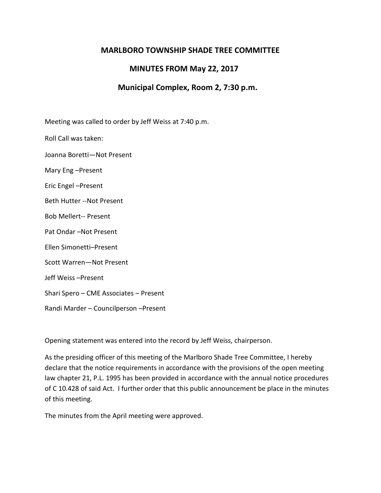## **MARLBORO TOWNSHIP SHADE TREE COMMITTEE**

## **MINUTES FROM May 22, 2017**

## **Municipal Complex, Room 2, 7:30 p.m.**

Meeting was called to order by Jeff Weiss at 7:40 p.m.

Roll Call was taken:

Joanna Boretti—Not Present

Mary Eng –Present

Eric Engel –Present

Beth Hutter --Not Present

Bob Mellert-- Present

Pat Ondar –Not Present

Ellen Simonetti–Present

Scott Warren—Not Present

Jeff Weiss –Present

Shari Spero – CME Associates – Present

Randi Marder – Councilperson –Present

Opening statement was entered into the record by Jeff Weiss, chairperson.

As the presiding officer of this meeting of the Marlboro Shade Tree Committee, I hereby declare that the notice requirements in accordance with the provisions of the open meeting law chapter 21, P.L. 1995 has been provided in accordance with the annual notice procedures of C 10.428 of said Act. I further order that this public announcement be place in the minutes of this meeting.

The minutes from the April meeting were approved.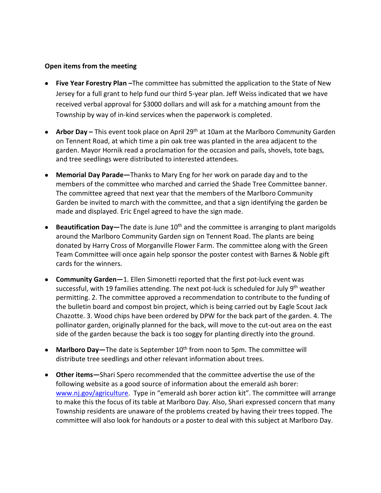## **Open items from the meeting**

- **Five Year Forestry Plan –**The committee has submitted the application to the State of New Jersey for a full grant to help fund our third 5-year plan. Jeff Weiss indicated that we have received verbal approval for \$3000 dollars and will ask for a matching amount from the Township by way of in-kind services when the paperwork is completed.
- **Arbor Day –** This event took place on April 29th at 10am at the Marlboro Community Garden on Tennent Road, at which time a pin oak tree was planted in the area adjacent to the garden. Mayor Hornik read a proclamation for the occasion and pails, shovels, tote bags, and tree seedlings were distributed to interested attendees.
- **Memorial Day Parade—**Thanks to Mary Eng for her work on parade day and to the members of the committee who marched and carried the Shade Tree Committee banner. The committee agreed that next year that the members of the Marlboro Community Garden be invited to march with the committee, and that a sign identifying the garden be made and displayed. Eric Engel agreed to have the sign made.
- **Beautification Day—**The date is June 10<sup>th</sup> and the committee is arranging to plant marigolds around the Marlboro Community Garden sign on Tennent Road. The plants are being donated by Harry Cross of Morganville Flower Farm. The committee along with the Green Team Committee will once again help sponsor the poster contest with Barnes & Noble gift cards for the winners.
- **Community Garden—**1. Ellen Simonetti reported that the first pot-luck event was successful, with 19 families attending. The next pot-luck is scheduled for July  $9<sup>th</sup>$  weather permitting. 2. The committee approved a recommendation to contribute to the funding of the bulletin board and compost bin project, which is being carried out by Eagle Scout Jack Chazotte. 3. Wood chips have been ordered by DPW for the back part of the garden. 4. The pollinator garden, originally planned for the back, will move to the cut-out area on the east side of the garden because the back is too soggy for planting directly into the ground.
- **Marlboro Day**—The date is September 10<sup>th</sup> from noon to 5pm. The committee will distribute tree seedlings and other relevant information about trees.
- **Other items—**Shari Spero recommended that the committee advertise the use of the following website as a good source of information about the emerald ash borer: [www.nj.gov/agriculture.](http://www.nj.gov/agriculture) Type in "emerald ash borer action kit". The committee will arrange to make this the focus of its table at Marlboro Day. Also, Shari expressed concern that many Township residents are unaware of the problems created by having their trees topped. The committee will also look for handouts or a poster to deal with this subject at Marlboro Day.